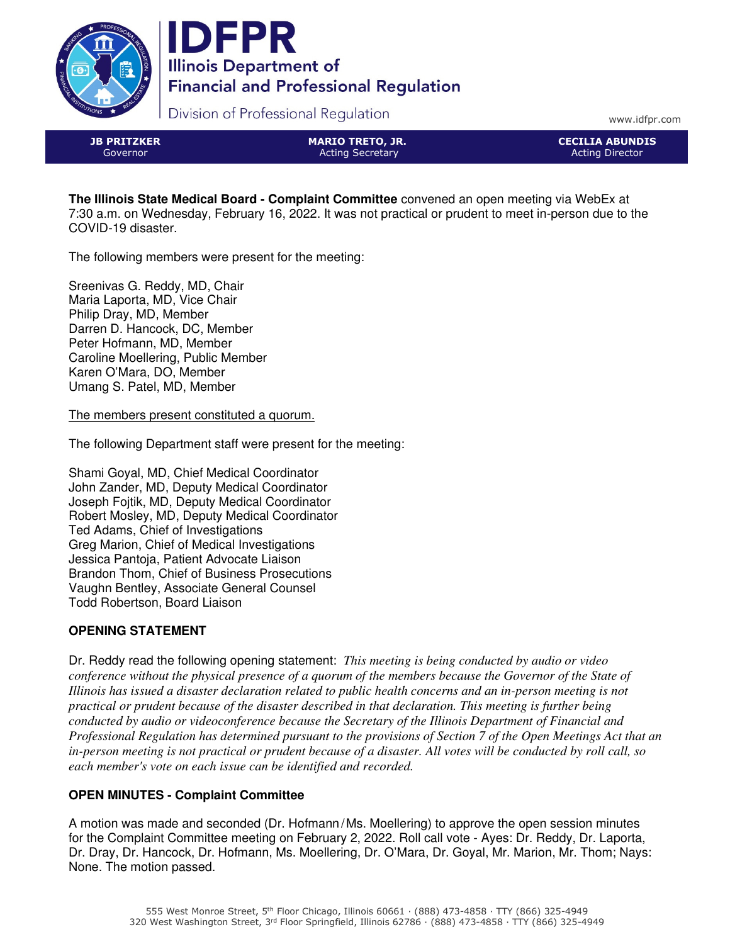



Division of Professional Regulation

www.idfpr.com

JB PRITZKER Governor

MARIO TRETO, JR. Acting Secretary

CECILIA ABUNDIS Acting Director

**The Illinois State Medical Board - Complaint Committee** convened an open meeting via WebEx at 7:30 a.m. on Wednesday, February 16, 2022. It was not practical or prudent to meet in-person due to the COVID-19 disaster.

The following members were present for the meeting:

Sreenivas G. Reddy, MD, Chair Maria Laporta, MD, Vice Chair Philip Dray, MD, Member Darren D. Hancock, DC, Member Peter Hofmann, MD, Member Caroline Moellering, Public Member Karen O'Mara, DO, Member Umang S. Patel, MD, Member

The members present constituted a quorum.

The following Department staff were present for the meeting:

Shami Goyal, MD, Chief Medical Coordinator John Zander, MD, Deputy Medical Coordinator Joseph Fojtik, MD, Deputy Medical Coordinator Robert Mosley, MD, Deputy Medical Coordinator Ted Adams, Chief of Investigations Greg Marion, Chief of Medical Investigations Jessica Pantoja, Patient Advocate Liaison Brandon Thom, Chief of Business Prosecutions Vaughn Bentley, Associate General Counsel Todd Robertson, Board Liaison

# **OPENING STATEMENT**

Dr. Reddy read the following opening statement: *This meeting is being conducted by audio or video conference without the physical presence of a quorum of the members because the Governor of the State of Illinois has issued a disaster declaration related to public health concerns and an in-person meeting is not practical or prudent because of the disaster described in that declaration. This meeting is further being conducted by audio or videoconference because the Secretary of the Illinois Department of Financial and Professional Regulation has determined pursuant to the provisions of Section 7 of the Open Meetings Act that an in-person meeting is not practical or prudent because of a disaster. All votes will be conducted by roll call, so each member's vote on each issue can be identified and recorded.*

# **OPEN MINUTES - Complaint Committee**

A motion was made and seconded (Dr. Hofmann/Ms. Moellering) to approve the open session minutes for the Complaint Committee meeting on February 2, 2022. Roll call vote - Ayes: Dr. Reddy, Dr. Laporta, Dr. Dray, Dr. Hancock, Dr. Hofmann, Ms. Moellering, Dr. O'Mara, Dr. Goyal, Mr. Marion, Mr. Thom; Nays: None. The motion passed.